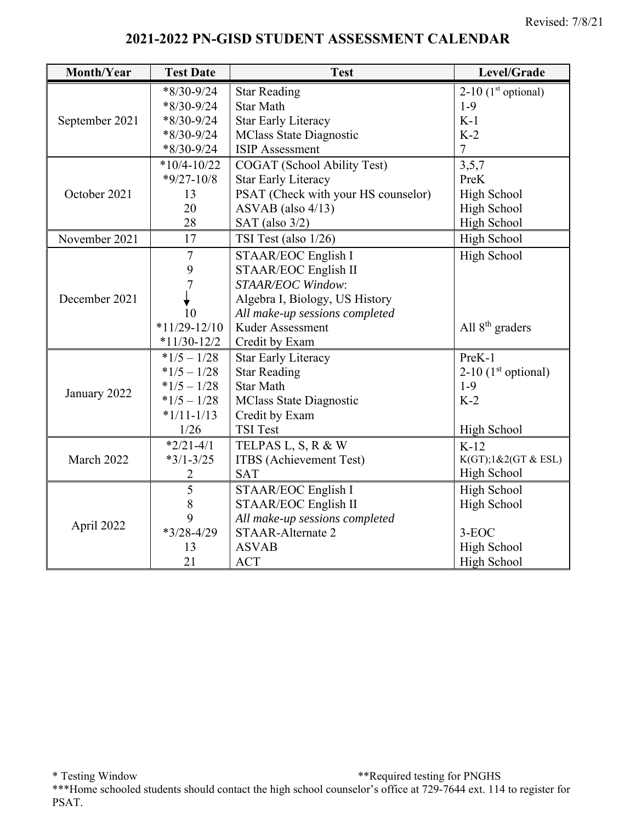## **2021-2022 PN-GISD STUDENT ASSESSMENT CALENDAR**

| Month/Year     | <b>Test Date</b> | <b>Test</b>                         | Level/Grade           |
|----------------|------------------|-------------------------------------|-----------------------|
| September 2021 | $*8/30-9/24$     | <b>Star Reading</b>                 | $2-10$ (1st optional) |
|                | $*8/30-9/24$     | <b>Star Math</b>                    | $1-9$                 |
|                | $*8/30-9/24$     | <b>Star Early Literacy</b>          | $K-1$                 |
|                | $*8/30-9/24$     | <b>MClass State Diagnostic</b>      | $K-2$                 |
|                | $*8/30-9/24$     | <b>ISIP</b> Assessment              | $\overline{7}$        |
| October 2021   | $*10/4-10/22$    | COGAT (School Ability Test)         | 3,5,7                 |
|                | $*9/27-10/8$     | <b>Star Early Literacy</b>          | PreK                  |
|                | 13               | PSAT (Check with your HS counselor) | High School           |
|                | 20               | $ASVAB$ (also $4/13$ )              | High School           |
|                | 28               | SAT (also 3/2)                      | <b>High School</b>    |
| November 2021  | 17               | TSI Test (also 1/26)                | <b>High School</b>    |
|                | $\tau$           | STAAR/EOC English I                 | High School           |
|                | 9                | STAAR/EOC English II                |                       |
|                |                  | STAAR/EOC Window:                   |                       |
| December 2021  |                  | Algebra I, Biology, US History      |                       |
|                | 10               | All make-up sessions completed      |                       |
|                | $*11/29-12/10$   | Kuder Assessment                    | All $8th$ graders     |
|                | $*11/30-12/2$    | Credit by Exam                      |                       |
|                | $*1/5 - 1/28$    | <b>Star Early Literacy</b>          | PreK-1                |
|                | $*1/5 - 1/28$    | <b>Star Reading</b>                 | 2-10 $(1st$ optional) |
|                | $*1/5 - 1/28$    | <b>Star Math</b>                    | $1-9$                 |
| January 2022   | $*1/5 - 1/28$    | <b>MClass State Diagnostic</b>      | $K-2$                 |
|                | $*1/11-1/13$     | Credit by Exam                      |                       |
|                | 1/26             | <b>TSI Test</b>                     | High School           |
| March 2022     | $*2/21 - 4/1$    | TELPAS L, S, R & W                  | $K-12$                |
|                | $*3/1 - 3/25$    | ITBS (Achievement Test)             | K(GT); 1&2(GT & ESL)  |
|                | $\overline{2}$   | <b>SAT</b>                          | <b>High School</b>    |
| April 2022     | 5                | STAAR/EOC English I                 | High School           |
|                | 8                | STAAR/EOC English II                | High School           |
|                | 9                | All make-up sessions completed      |                       |
|                | $*3/28-4/29$     | <b>STAAR-Alternate 2</b>            | $3-EOC$               |
|                | 13               | <b>ASVAB</b>                        | High School           |
|                | 21               | <b>ACT</b>                          | High School           |